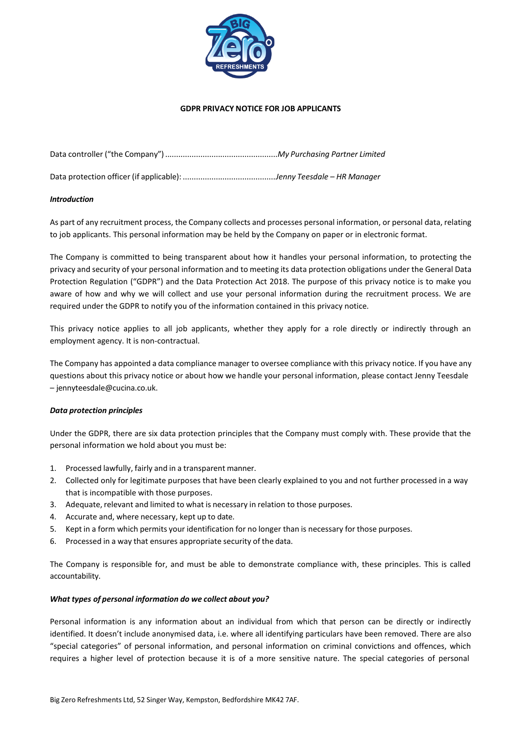

#### **GDPR PRIVACY NOTICE FOR JOB APPLICANTS**

Data protection officer (if applicable): ..........................................*Jenny Teesdale – HR Manager*

#### *Introduction*

As part of any recruitment process, the Company collects and processes personal information, or personal data, relating to job applicants. This personal information may be held by the Company on paper or in electronic format.

The Company is committed to being transparent about how it handles your personal information, to protecting the privacy and security of your personal information and to meeting its data protection obligations under the General Data Protection Regulation ("GDPR") and the Data Protection Act 2018. The purpose of this privacy notice is to make you aware of how and why we will collect and use your personal information during the recruitment process. We are required under the GDPR to notify you of the information contained in this privacy notice.

This privacy notice applies to all job applicants, whether they apply for a role directly or indirectly through an employment agency. It is non-contractual.

The Company has appointed a data compliance manager to oversee compliance with this privacy notice. If you have any questions about this privacy notice or about how we handle your personal information, please contact Jenny Teesdale – [jennyteesdale@cucina.co.uk.](mailto:jennyteesdale@cucina.co.uk)

### *Data protection principles*

Under the GDPR, there are six data protection principles that the Company must comply with. These provide that the personal information we hold about you must be:

- 1. Processed lawfully, fairly and in a transparent manner.
- 2. Collected only for legitimate purposes that have been clearly explained to you and not further processed in a way that is incompatible with those purposes.
- 3. Adequate, relevant and limited to what is necessary in relation to those purposes.
- 4. Accurate and, where necessary, kept up to date.
- 5. Kept in a form which permits your identification for no longer than is necessary for those purposes.
- 6. Processed in a way that ensures appropriate security of the data.

The Company is responsible for, and must be able to demonstrate compliance with, these principles. This is called accountability.

### *What types of personal information do we collect about you?*

Personal information is any information about an individual from which that person can be directly or indirectly identified. It doesn't include anonymised data, i.e. where all identifying particulars have been removed. There are also "special categories" of personal information, and personal information on criminal convictions and offences, which requires a higher level of protection because it is of a more sensitive nature. The special categories of personal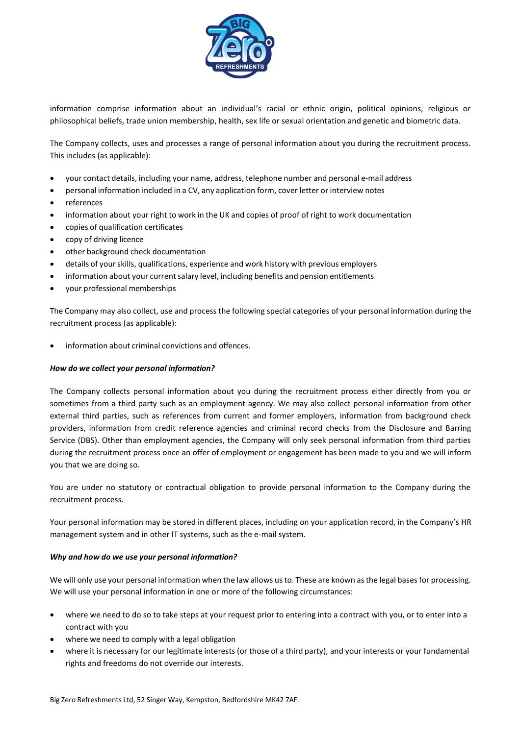

information comprise information about an individual's racial or ethnic origin, political opinions, religious or philosophical beliefs, trade union membership, health, sex life or sexual orientation and genetic and biometric data.

The Company collects, uses and processes a range of personal information about you during the recruitment process. This includes (as applicable):

- your contact details, including your name, address, telephone number and personal e-mail address
- personal information included in a CV, any application form, cover letter or interview notes
- references
- information about your right to work in the UK and copies of proof of right to work documentation
- copies of qualification certificates
- copy of driving licence
- other background check documentation
- details of yourskills, qualifications, experience and work history with previous employers
- information about your current salary level, including benefits and pension entitlements
- your professional memberships

The Company may also collect, use and process the following special categories of your personal information during the recruitment process (as applicable):

information about criminal convictions and offences.

### *How do we collect your personal information?*

The Company collects personal information about you during the recruitment process either directly from you or sometimes from a third party such as an employment agency. We may also collect personal information from other external third parties, such as references from current and former employers, information from background check providers, information from credit reference agencies and criminal record checks from the Disclosure and Barring Service (DBS). Other than employment agencies, the Company will only seek personal information from third parties during the recruitment process once an offer of employment or engagement has been made to you and we will inform you that we are doing so.

You are under no statutory or contractual obligation to provide personal information to the Company during the recruitment process.

Your personal information may be stored in different places, including on your application record, in the Company's HR management system and in other IT systems, such as the e-mail system.

### *Why and how do we use your personal information?*

We will only use your personal information when the law allows us to. These are known as the legal bases for processing. We will use your personal information in one or more of the following circumstances:

- where we need to do so to take steps at your request prior to entering into a contract with you, or to enter into a contract with you
- where we need to comply with a legal obligation
- where it is necessary for our legitimate interests (or those of a third party), and your interests or your fundamental rights and freedoms do not override our interests.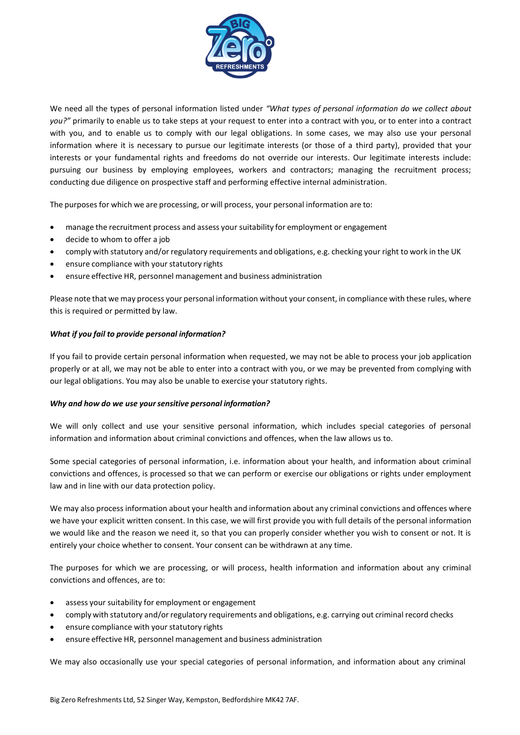

We need all the types of personal information listed under *"What types of personal information do we collect about you?"* primarily to enable us to take steps at your request to enter into a contract with you, or to enter into a contract with you, and to enable us to comply with our legal obligations. In some cases, we may also use your personal information where it is necessary to pursue our legitimate interests (or those of a third party), provided that your interests or your fundamental rights and freedoms do not override our interests. Our legitimate interests include: pursuing our business by employing employees, workers and contractors; managing the recruitment process; conducting due diligence on prospective staff and performing effective internal administration.

The purposes for which we are processing, or will process, your personal information are to:

- manage the recruitment process and assess your suitability for employment or engagement
- decide to whom to offer a job
- comply with statutory and/or regulatory requirements and obligations, e.g. checking your right to work in the UK
- ensure compliance with your statutory rights
- ensure effective HR, personnel management and business administration

Please note that we may process your personal information without your consent, in compliance with these rules, where this is required or permitted by law.

## *What if you fail to provide personal information?*

If you fail to provide certain personal information when requested, we may not be able to process your job application properly or at all, we may not be able to enter into a contract with you, or we may be prevented from complying with our legal obligations. You may also be unable to exercise your statutory rights.

### *Why and how do we use yoursensitive personal information?*

We will only collect and use your sensitive personal information, which includes special categories of personal information and information about criminal convictions and offences, when the law allows us to.

Some special categories of personal information, i.e. information about your health, and information about criminal convictions and offences, is processed so that we can perform or exercise our obligations or rights under employment law and in line with our data protection policy.

We may also process information about your health and information about any criminal convictions and offences where we have your explicit written consent. In this case, we will first provide you with full details of the personal information we would like and the reason we need it, so that you can properly consider whether you wish to consent or not. It is entirely your choice whether to consent. Your consent can be withdrawn at any time.

The purposes for which we are processing, or will process, health information and information about any criminal convictions and offences, are to:

- assess your suitability for employment or engagement
- comply with statutory and/or regulatory requirements and obligations, e.g. carrying out criminal record checks
- ensure compliance with your statutory rights
- ensure effective HR, personnel management and business administration

We may also occasionally use your special categories of personal information, and information about any criminal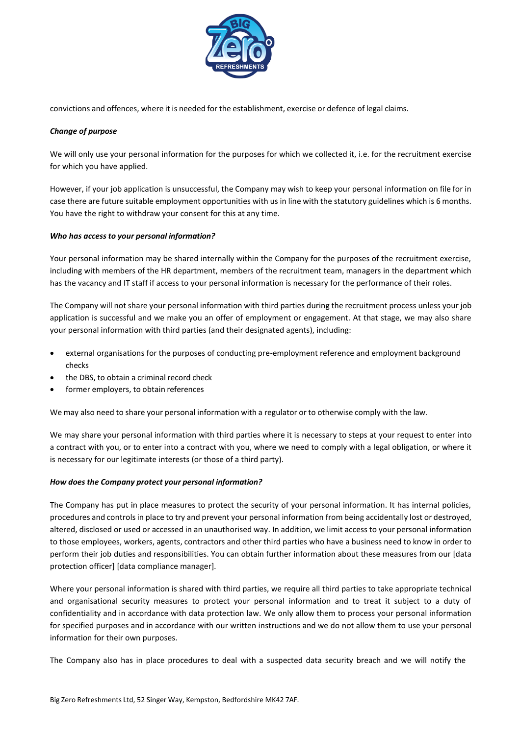

convictions and offences, where it is needed for the establishment, exercise or defence of legal claims.

### *Change of purpose*

We will only use your personal information for the purposes for which we collected it, i.e. for the recruitment exercise for which you have applied.

However, if your job application is unsuccessful, the Company may wish to keep your personal information on file for in case there are future suitable employment opportunities with us in line with the statutory guidelines which is 6 months. You have the right to withdraw your consent for this at any time.

## *Who has accessto your personal information?*

Your personal information may be shared internally within the Company for the purposes of the recruitment exercise, including with members of the HR department, members of the recruitment team, managers in the department which has the vacancy and IT staff if access to your personal information is necessary for the performance of their roles.

The Company will not share your personal information with third parties during the recruitment process unless your job application is successful and we make you an offer of employment or engagement. At that stage, we may also share your personal information with third parties (and their designated agents), including:

- external organisations for the purposes of conducting pre-employment reference and employment background checks
- the DBS, to obtain a criminal record check
- former employers, to obtain references

We may also need to share your personal information with a regulator or to otherwise comply with the law.

We may share your personal information with third parties where it is necessary to steps at your request to enter into a contract with you, or to enter into a contract with you, where we need to comply with a legal obligation, or where it is necessary for our legitimate interests (or those of a third party).

### *How does the Company protect your personal information?*

The Company has put in place measures to protect the security of your personal information. It has internal policies, procedures and controlsin place to try and prevent your personal information from being accidentally lost or destroyed, altered, disclosed or used or accessed in an unauthorised way. In addition, we limit access to your personal information to those employees, workers, agents, contractors and other third parties who have a business need to know in order to perform their job duties and responsibilities. You can obtain further information about these measures from our [data protection officer] [data compliance manager]*.*

Where your personal information is shared with third parties, we require all third parties to take appropriate technical and organisational security measures to protect your personal information and to treat it subject to a duty of confidentiality and in accordance with data protection law. We only allow them to process your personal information for specified purposes and in accordance with our written instructions and we do not allow them to use your personal information for their own purposes.

The Company also has in place procedures to deal with a suspected data security breach and we will notify the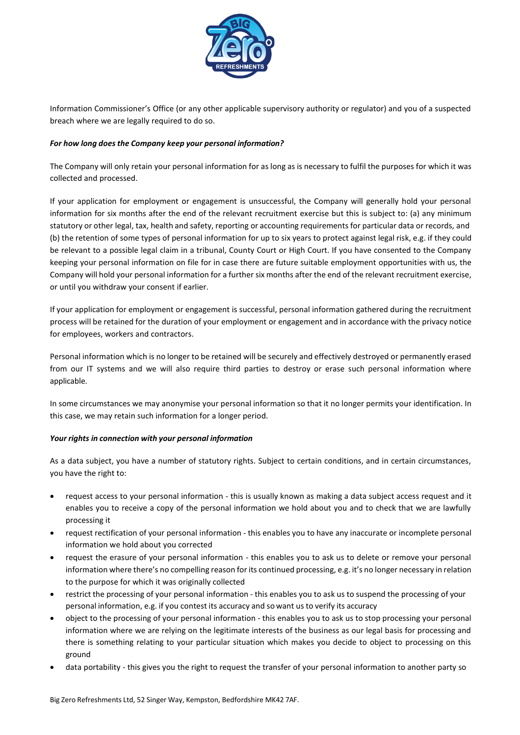

Information Commissioner's Office (or any other applicable supervisory authority or regulator) and you of a suspected breach where we are legally required to do so.

# *For how long does the Company keep your personal information?*

The Company will only retain your personal information for as long as is necessary to fulfil the purposes for which it was collected and processed.

If your application for employment or engagement is unsuccessful, the Company will generally hold your personal information for six months after the end of the relevant recruitment exercise but this is subject to: (a) any minimum statutory or other legal, tax, health and safety, reporting or accounting requirements for particular data or records, and (b) the retention of some types of personal information for up to six years to protect against legal risk, e.g. if they could be relevant to a possible legal claim in a tribunal, County Court or High Court. If you have consented to the Company keeping your personal information on file for in case there are future suitable employment opportunities with us, the Company will hold your personal information for a further six months after the end of the relevant recruitment exercise, or until you withdraw your consent if earlier.

If your application for employment or engagement is successful, personal information gathered during the recruitment process will be retained for the duration of your employment or engagement and in accordance with the privacy notice for employees, workers and contractors.

Personal information which is no longer to be retained will be securely and effectively destroyed or permanently erased from our IT systems and we will also require third parties to destroy or erase such personal information where applicable.

In some circumstances we may anonymise your personal information so that it no longer permits your identification. In this case, we may retain such information for a longer period.

### *Your rights in connection with your personal information*

As a data subject, you have a number of statutory rights. Subject to certain conditions, and in certain circumstances, you have the right to:

- request access to your personal information this is usually known as making a data subject access request and it enables you to receive a copy of the personal information we hold about you and to check that we are lawfully processing it
- request rectification of your personal information this enables you to have any inaccurate or incomplete personal information we hold about you corrected
- request the erasure of your personal information this enables you to ask us to delete or remove your personal information where there's no compelling reason for its continued processing, e.g. it's no longer necessary in relation to the purpose for which it was originally collected
- restrict the processing of your personal information this enables you to ask us to suspend the processing of your personal information, e.g. if you contest its accuracy and so want us to verify its accuracy
- object to the processing of your personal information this enables you to ask us to stop processing your personal information where we are relying on the legitimate interests of the business as our legal basis for processing and there is something relating to your particular situation which makes you decide to object to processing on this ground
- data portability this gives you the right to request the transfer of your personal information to another party so